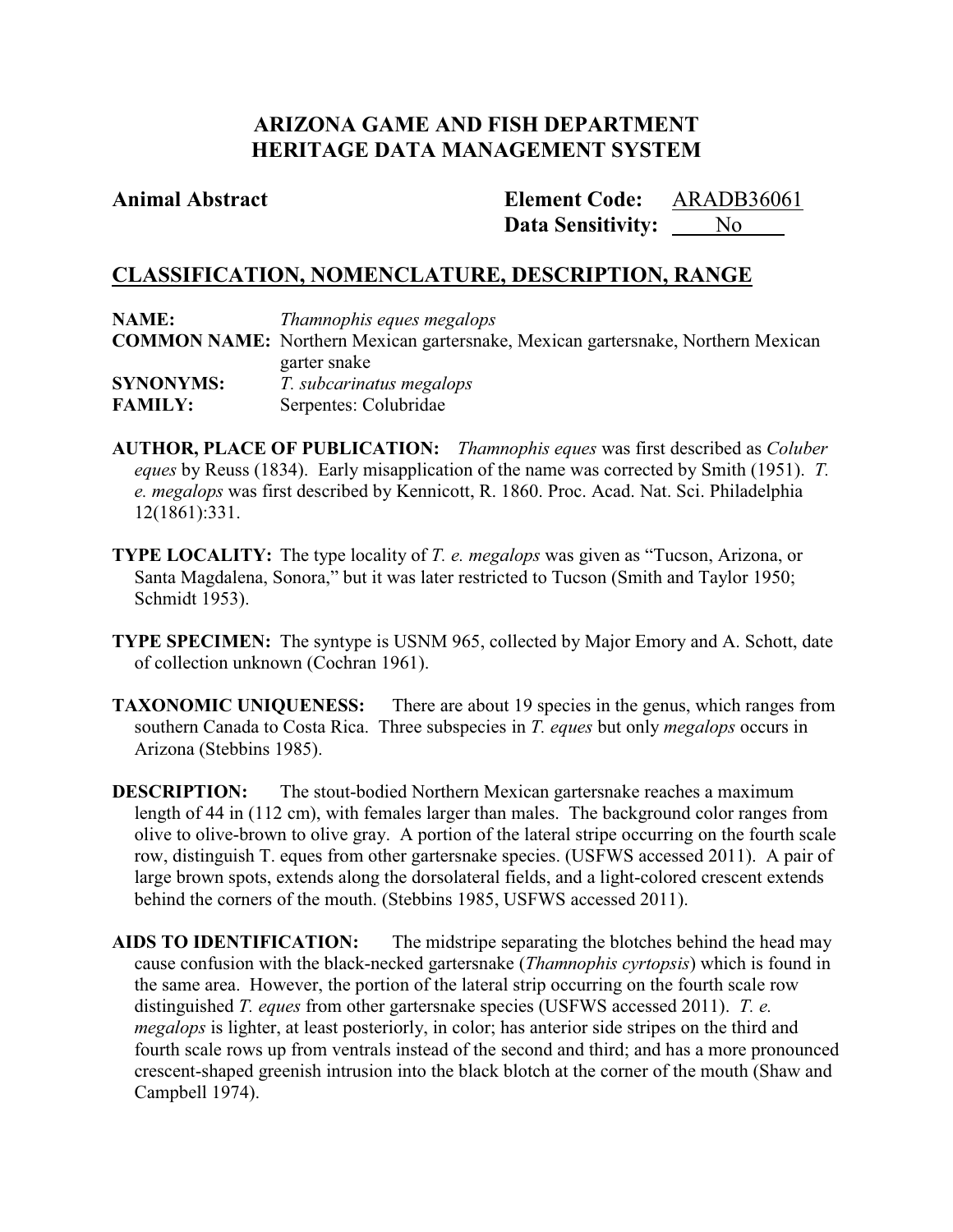# **ARIZONA GAME AND FISH DEPARTMENT HERITAGE DATA MANAGEMENT SYSTEM**

## **Animal Abstract Element Code:**

Data Sensitivity: <u>No</u> ARADB36061

# **CLASSIFICATION, NOMENCLATURE, DESCRIPTION, RANGE**

| <b>NAME:</b>     | Thamnophis eques megalops                                                               |  |
|------------------|-----------------------------------------------------------------------------------------|--|
|                  | <b>COMMON NAME:</b> Northern Mexican gartersnake, Mexican gartersnake, Northern Mexican |  |
|                  | garter snake                                                                            |  |
| <b>SYNONYMS:</b> | T. subcarinatus megalops                                                                |  |
| <b>FAMILY:</b>   | Serpentes: Colubridae                                                                   |  |

**AUTHOR, PLACE OF PUBLICATION:** *Thamnophis eques* was first described as *Coluber eques* by Reuss (1834). Early misapplication of the name was corrected by Smith (1951). *T. e. megalops* was first described by Kennicott, R. 1860. Proc. Acad. Nat. Sci. Philadelphia 12(1861):331.

- **TYPE LOCALITY:** The type locality of *T. e. megalops* was given as "Tucson, Arizona, or Santa Magdalena, Sonora," but it was later restricted to Tucson (Smith and Taylor 1950; Schmidt 1953).
- **TYPE SPECIMEN:** The syntype is USNM 965, collected by Major Emory and A. Schott, date of collection unknown (Cochran 1961).
- **TAXONOMIC UNIQUENESS:** There are about 19 species in the genus, which ranges from southern Canada to Costa Rica. Three subspecies in *T. eques* but only *megalops* occurs in Arizona (Stebbins 1985).

**DESCRIPTION:** The stout-bodied Northern Mexican gartersnake reaches a maximum length of 44 in (112 cm), with females larger than males. The background color ranges from olive to olive-brown to olive gray. A portion of the lateral stripe occurring on the fourth scale row, distinguish T. eques from other gartersnake species. (USFWS accessed 2011). A pair of large brown spots, extends along the dorsolateral fields, and a light-colored crescent extends behind the corners of the mouth. (Stebbins 1985, USFWS accessed 2011).

**AIDS TO IDENTIFICATION:** The midstripe separating the blotches behind the head may cause confusion with the black-necked gartersnake (*Thamnophis cyrtopsis*) which is found in the same area. However, the portion of the lateral strip occurring on the fourth scale row distinguished *T. eques* from other gartersnake species (USFWS accessed 2011). *T. e. megalops* is lighter, at least posteriorly, in color; has anterior side stripes on the third and fourth scale rows up from ventrals instead of the second and third; and has a more pronounced crescent-shaped greenish intrusion into the black blotch at the corner of the mouth (Shaw and Campbell 1974).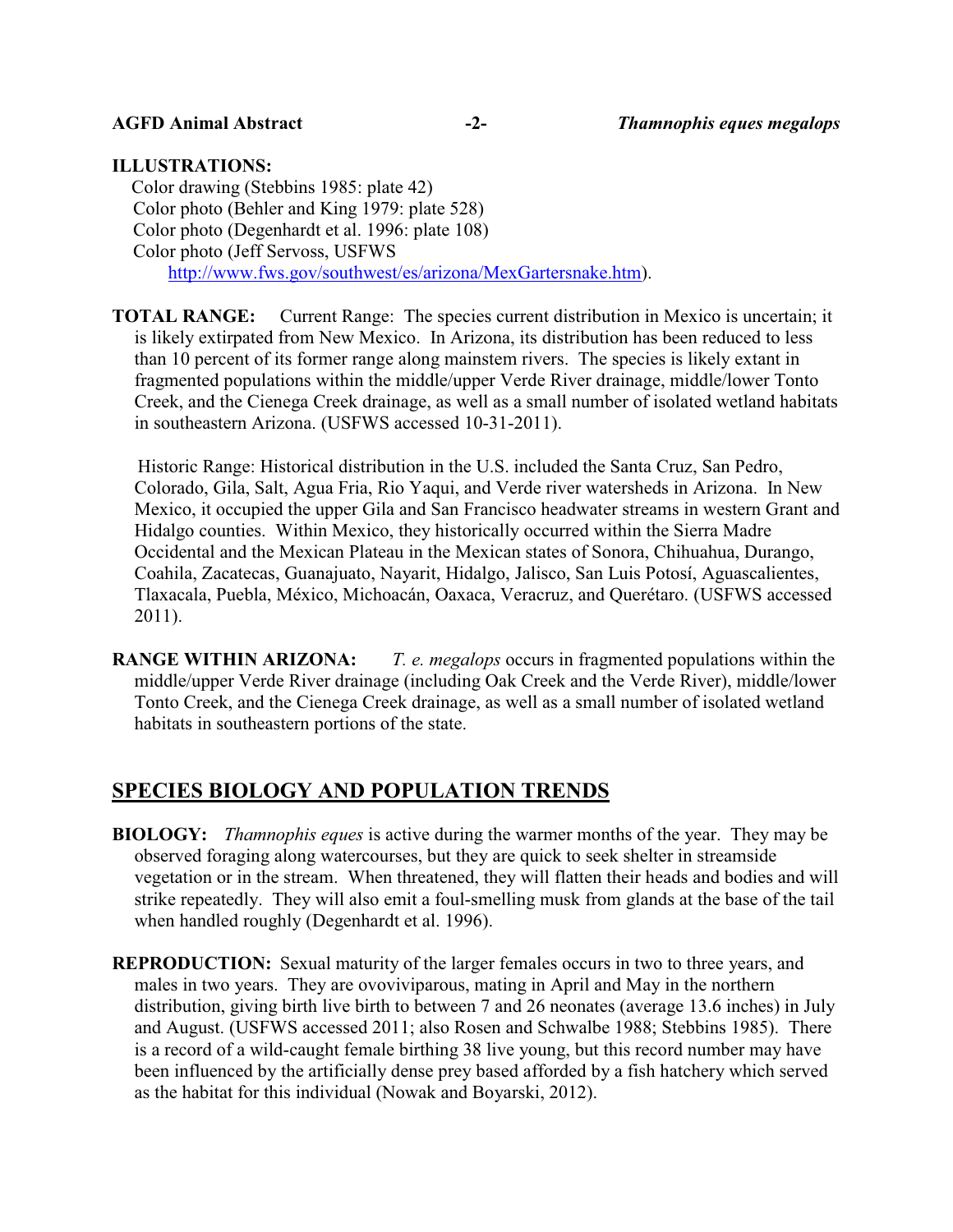### **ILLUSTRATIONS:**

Color drawing (Stebbins 1985: plate 42) Color photo (Behler and King 1979: plate 528) Color photo (Degenhardt et al. 1996: plate 108) Color photo (Jeff Servoss, USFWS http://www.fws.gov/southwest/es/arizona/MexGartersnake.htm).

**TOTAL RANGE:** Current Range: The species current distribution in Mexico is uncertain; it is likely extirpated from New Mexico. In Arizona, its distribution has been reduced to less than 10 percent of its former range along mainstem rivers. The species is likely extant in fragmented populations within the middle/upper Verde River drainage, middle/lower Tonto Creek, and the Cienega Creek drainage, as well as a small number of isolated wetland habitats in southeastern Arizona. (USFWS accessed 10-31-2011).

Historic Range: Historical distribution in the U.S. included the Santa Cruz, San Pedro, Colorado, Gila, Salt, Agua Fria, Rio Yaqui, and Verde river watersheds in Arizona. In New Mexico, it occupied the upper Gila and San Francisco headwater streams in western Grant and Hidalgo counties. Within Mexico, they historically occurred within the Sierra Madre Occidental and the Mexican Plateau in the Mexican states of Sonora, Chihuahua, Durango, Coahila, Zacatecas, Guanajuato, Nayarit, Hidalgo, Jalisco, San Luis Potosí, Aguascalientes, Tlaxacala, Puebla, México, Michoacán, Oaxaca, Veracruz, and Querétaro. (USFWS accessed 2011).

**RANGE WITHIN ARIZONA:** *T. e. megalops* occurs in fragmented populations within the middle/upper Verde River drainage (including Oak Creek and the Verde River), middle/lower Tonto Creek, and the Cienega Creek drainage, as well as a small number of isolated wetland habitats in southeastern portions of the state.

## **SPECIES BIOLOGY AND POPULATION TRENDS**

- **BIOLOGY:** *Thamnophis eques* is active during the warmer months of the year. They may be observed foraging along watercourses, but they are quick to seek shelter in streamside vegetation or in the stream. When threatened, they will flatten their heads and bodies and will strike repeatedly. They will also emit a foul-smelling musk from glands at the base of the tail when handled roughly (Degenhardt et al. 1996).
- **REPRODUCTION:** Sexual maturity of the larger females occurs in two to three years, and males in two years. They are ovoviviparous, mating in April and May in the northern distribution, giving birth live birth to between 7 and 26 neonates (average 13.6 inches) in July and August. (USFWS accessed 2011; also Rosen and Schwalbe 1988; Stebbins 1985). There is a record of a wild-caught female birthing 38 live young, but this record number may have been influenced by the artificially dense prey based afforded by a fish hatchery which served as the habitat for this individual (Nowak and Boyarski, 2012).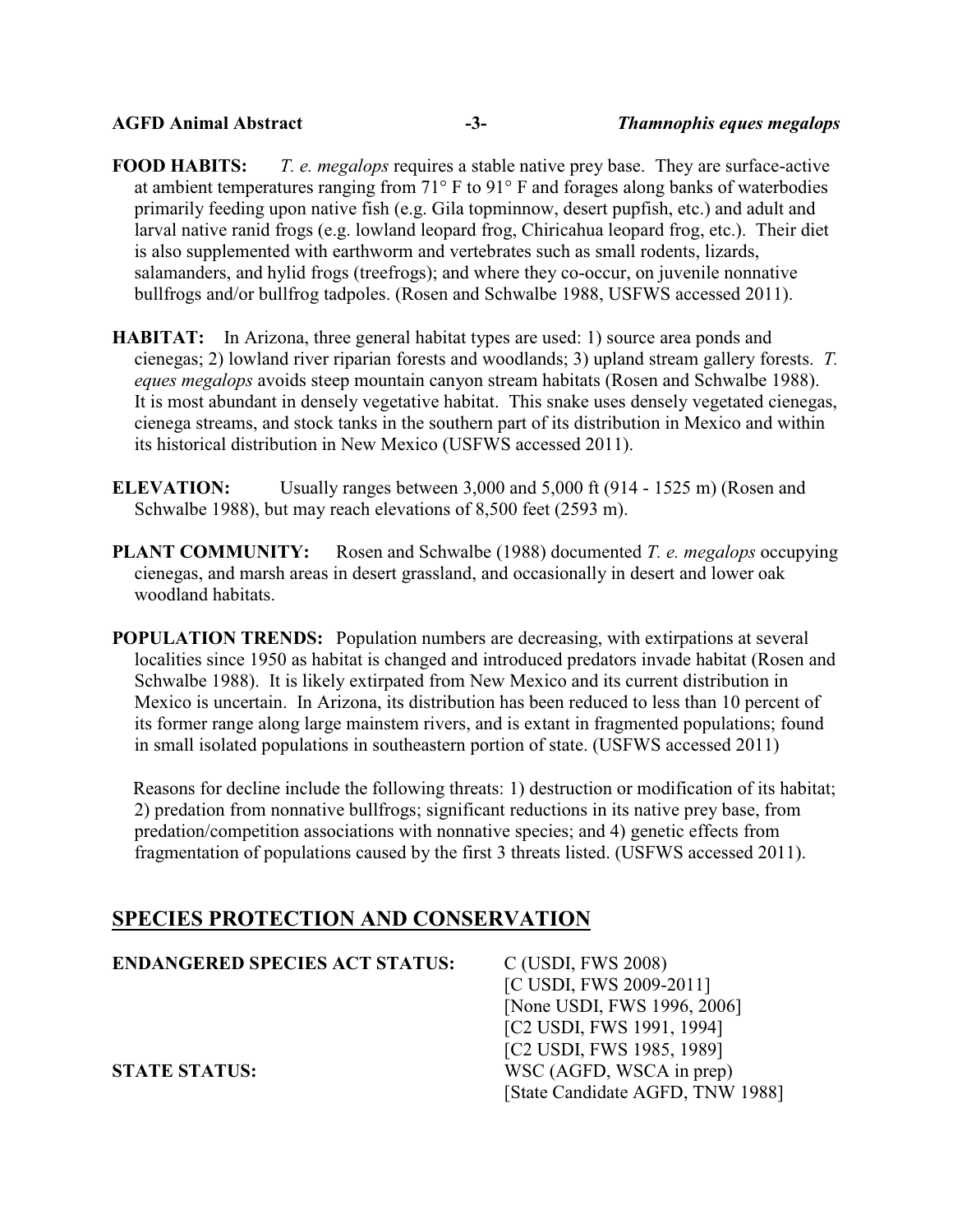**FOOD HABITS:** *T. e. megalops* requires a stable native prey base. They are surface-active at ambient temperatures ranging from 71° F to 91° F and forages along banks of waterbodies primarily feeding upon native fish (e.g. Gila topminnow, desert pupfish, etc.) and adult and larval native ranid frogs (e.g. lowland leopard frog, Chiricahua leopard frog, etc.). Their diet is also supplemented with earthworm and vertebrates such as small rodents, lizards, salamanders, and hylid frogs (treefrogs); and where they co-occur, on juvenile nonnative bullfrogs and/or bullfrog tadpoles. (Rosen and Schwalbe 1988, USFWS accessed 2011).

- **HABITAT:** In Arizona, three general habitat types are used: 1) source area ponds and cienegas; 2) lowland river riparian forests and woodlands; 3) upland stream gallery forests. *T. eques megalops* avoids steep mountain canyon stream habitats (Rosen and Schwalbe 1988). It is most abundant in densely vegetative habitat. This snake uses densely vegetated cienegas, cienega streams, and stock tanks in the southern part of its distribution in Mexico and within its historical distribution in New Mexico (USFWS accessed 2011).
- **ELEVATION:** Usually ranges between 3,000 and 5,000 ft (914 1525 m) (Rosen and Schwalbe 1988), but may reach elevations of 8,500 feet (2593 m).
- **PLANT COMMUNITY:** Rosen and Schwalbe (1988) documented *T. e. megalops* occupying cienegas, and marsh areas in desert grassland, and occasionally in desert and lower oak woodland habitats.
- **POPULATION TRENDS:** Population numbers are decreasing, with extirpations at several localities since 1950 as habitat is changed and introduced predators invade habitat (Rosen and Schwalbe 1988). It is likely extirpated from New Mexico and its current distribution in Mexico is uncertain. In Arizona, its distribution has been reduced to less than 10 percent of its former range along large mainstem rivers, and is extant in fragmented populations; found in small isolated populations in southeastern portion of state. (USFWS accessed 2011)

Reasons for decline include the following threats: 1) destruction or modification of its habitat; 2) predation from nonnative bullfrogs; significant reductions in its native prey base, from predation/competition associations with nonnative species; and 4) genetic effects from fragmentation of populations caused by the first 3 threats listed. (USFWS accessed 2011).

# **SPECIES PROTECTION AND CONSERVATION**

| <b>ENDANGERED SPECIES ACT STATUS:</b> | C (USDI, FWS 2008)               |
|---------------------------------------|----------------------------------|
|                                       | [C USDI, FWS 2009-2011]          |
|                                       | [None USDI, FWS 1996, 2006]      |
|                                       | [C2 USDI, FWS 1991, 1994]        |
|                                       | [C2 USDI, FWS 1985, 1989]        |
| <b>STATE STATUS:</b>                  | WSC (AGFD, WSCA in prep)         |
|                                       | [State Candidate AGFD, TNW 1988] |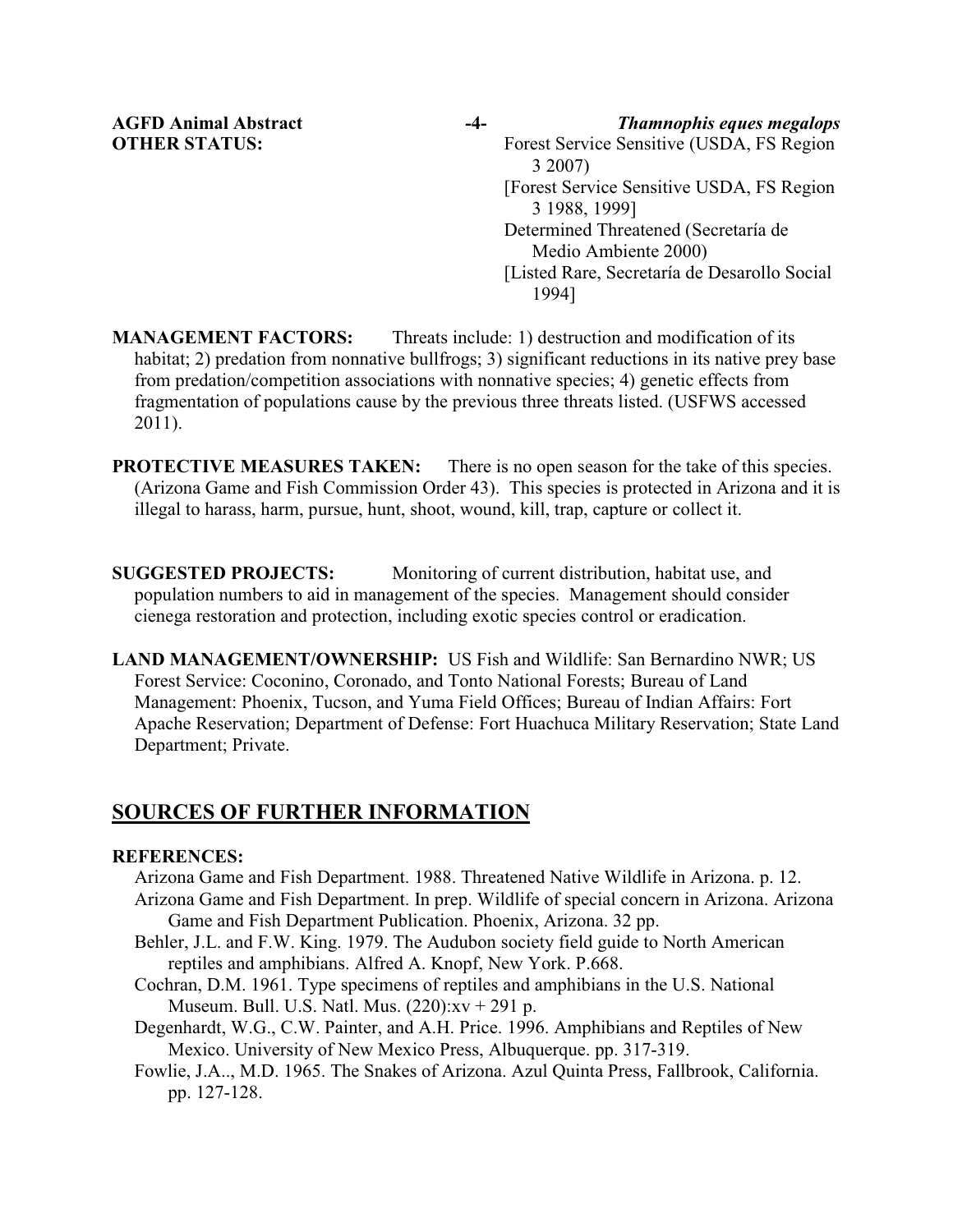**AGFD Animal Abstract -4-** *Thamnophis eques megalops* **OTHER STATUS:** Forest Service Sensitive (USDA, FS Region 3 2007) [Forest Service Sensitive USDA, FS Region 3 1988, 1999] Determined Threatened (Secretaría de Medio Ambiente 2000) [Listed Rare, Secretaría de Desarollo Social 1994]

**MANAGEMENT FACTORS:** Threats include: 1) destruction and modification of its habitat; 2) predation from nonnative bullfrogs; 3) significant reductions in its native prey base from predation/competition associations with nonnative species; 4) genetic effects from fragmentation of populations cause by the previous three threats listed. (USFWS accessed 2011).

**PROTECTIVE MEASURES TAKEN:** There is no open season for the take of this species. (Arizona Game and Fish Commission Order 43). This species is protected in Arizona and it is illegal to harass, harm, pursue, hunt, shoot, wound, kill, trap, capture or collect it.

**SUGGESTED PROJECTS:** Monitoring of current distribution, habitat use, and population numbers to aid in management of the species. Management should consider cienega restoration and protection, including exotic species control or eradication.

**LAND MANAGEMENT/OWNERSHIP:** US Fish and Wildlife: San Bernardino NWR; US Forest Service: Coconino, Coronado, and Tonto National Forests; Bureau of Land Management: Phoenix, Tucson, and Yuma Field Offices; Bureau of Indian Affairs: Fort Apache Reservation; Department of Defense: Fort Huachuca Military Reservation; State Land Department; Private.

# **SOURCES OF FURTHER INFORMATION**

## **REFERENCES:**

Arizona Game and Fish Department. 1988. Threatened Native Wildlife in Arizona. p. 12.

- Arizona Game and Fish Department. In prep. Wildlife of special concern in Arizona. Arizona Game and Fish Department Publication. Phoenix, Arizona. 32 pp.
- Behler, J.L. and F.W. King. 1979. The Audubon society field guide to North American reptiles and amphibians. Alfred A. Knopf, New York. P.668.
- Cochran, D.M. 1961. Type specimens of reptiles and amphibians in the U.S. National Museum. Bull. U.S. Natl. Mus. (220):xv + 291 p.
- Degenhardt, W.G., C.W. Painter, and A.H. Price. 1996. Amphibians and Reptiles of New Mexico. University of New Mexico Press, Albuquerque. pp. 317-319.
- Fowlie, J.A.., M.D. 1965. The Snakes of Arizona. Azul Quinta Press, Fallbrook, California. pp. 127-128.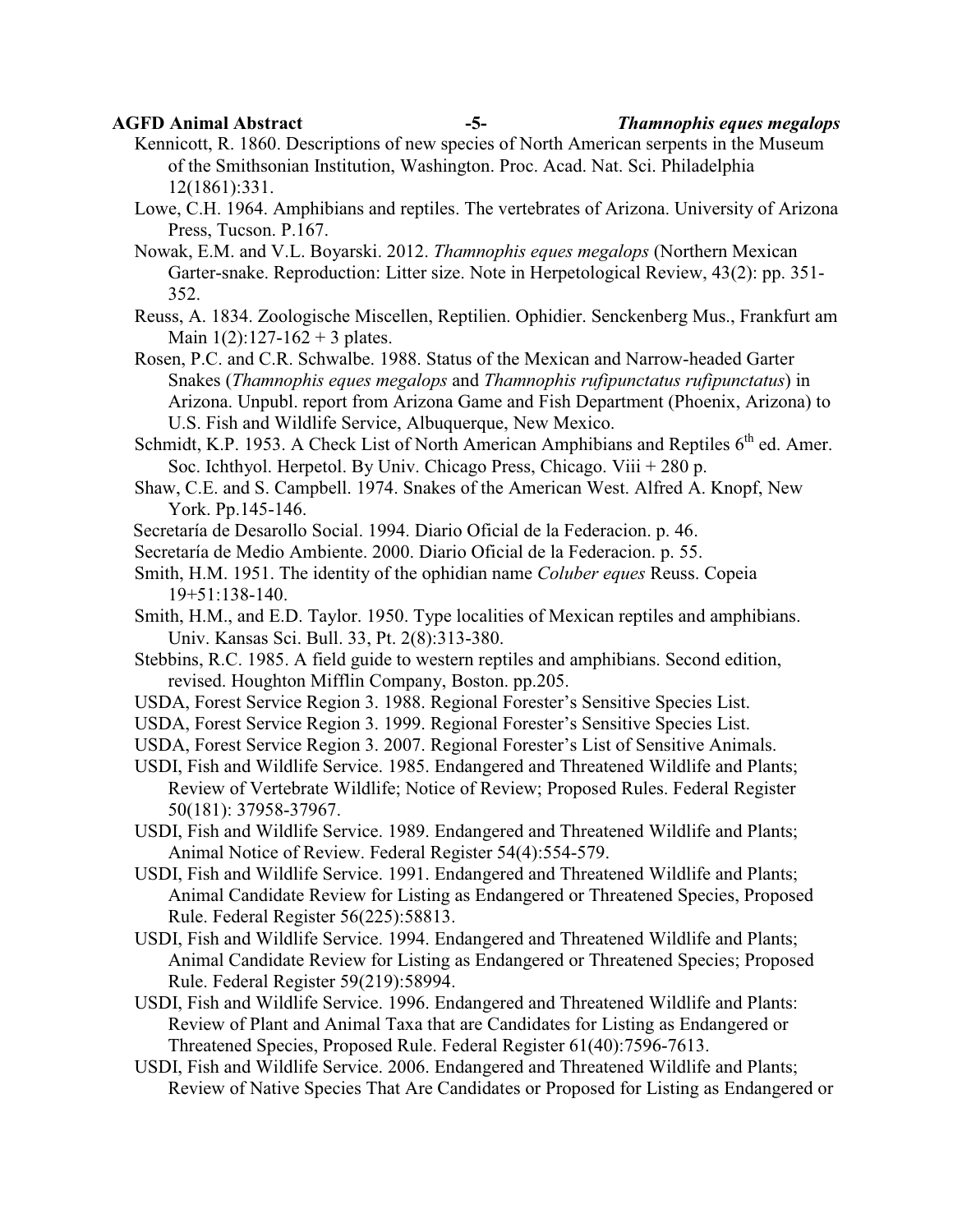**AGFD Animal Abstract -5-** *Thamnophis eques megalops*

- Kennicott, R. 1860. Descriptions of new species of North American serpents in the Museum of the Smithsonian Institution, Washington. Proc. Acad. Nat. Sci. Philadelphia 12(1861):331.
- Lowe, C.H. 1964. Amphibians and reptiles. The vertebrates of Arizona. University of Arizona Press, Tucson. P.167.

Nowak, E.M. and V.L. Boyarski. 2012. *Thamnophis eques megalops* (Northern Mexican Garter-snake. Reproduction: Litter size. Note in Herpetological Review, 43(2): pp. 351- 352.

Reuss, A. 1834. Zoologische Miscellen, Reptilien. Ophidier. Senckenberg Mus., Frankfurt am Main  $1(2)$ :127-162 + 3 plates.

Rosen, P.C. and C.R. Schwalbe. 1988. Status of the Mexican and Narrow-headed Garter Snakes (*Thamnophis eques megalops* and *Thamnophis rufipunctatus rufipunctatus*) in Arizona. Unpubl. report from Arizona Game and Fish Department (Phoenix, Arizona) to U.S. Fish and Wildlife Service, Albuquerque, New Mexico.

Schmidt, K.P. 1953. A Check List of North American Amphibians and Reptiles  $6<sup>th</sup>$  ed. Amer. Soc. Ichthyol. Herpetol. By Univ. Chicago Press, Chicago. Viii + 280 p.

Shaw, C.E. and S. Campbell. 1974. Snakes of the American West. Alfred A. Knopf, New York. Pp.145-146.

Secretaría de Desarollo Social. 1994. Diario Oficial de la Federacion. p. 46.

Secretaría de Medio Ambiente. 2000. Diario Oficial de la Federacion. p. 55.

- Smith, H.M. 1951. The identity of the ophidian name *Coluber eques* Reuss. Copeia 19+51:138-140.
- Smith, H.M., and E.D. Taylor. 1950. Type localities of Mexican reptiles and amphibians. Univ. Kansas Sci. Bull. 33, Pt. 2(8):313-380.
- Stebbins, R.C. 1985. A field guide to western reptiles and amphibians. Second edition, revised. Houghton Mifflin Company, Boston. pp.205.
- USDA, Forest Service Region 3. 1988. Regional Forester's Sensitive Species List.
- USDA, Forest Service Region 3. 1999. Regional Forester's Sensitive Species List.

USDA, Forest Service Region 3. 2007. Regional Forester's List of Sensitive Animals.

- USDI, Fish and Wildlife Service. 1985. Endangered and Threatened Wildlife and Plants; Review of Vertebrate Wildlife; Notice of Review; Proposed Rules. Federal Register 50(181): 37958-37967.
- USDI, Fish and Wildlife Service. 1989. Endangered and Threatened Wildlife and Plants; Animal Notice of Review. Federal Register 54(4):554-579.
- USDI, Fish and Wildlife Service. 1991. Endangered and Threatened Wildlife and Plants; Animal Candidate Review for Listing as Endangered or Threatened Species, Proposed Rule. Federal Register 56(225):58813.
- USDI, Fish and Wildlife Service. 1994. Endangered and Threatened Wildlife and Plants; Animal Candidate Review for Listing as Endangered or Threatened Species; Proposed Rule. Federal Register 59(219):58994.
- USDI, Fish and Wildlife Service. 1996. Endangered and Threatened Wildlife and Plants: Review of Plant and Animal Taxa that are Candidates for Listing as Endangered or Threatened Species, Proposed Rule. Federal Register 61(40):7596-7613.
- USDI, Fish and Wildlife Service. 2006. Endangered and Threatened Wildlife and Plants; Review of Native Species That Are Candidates or Proposed for Listing as Endangered or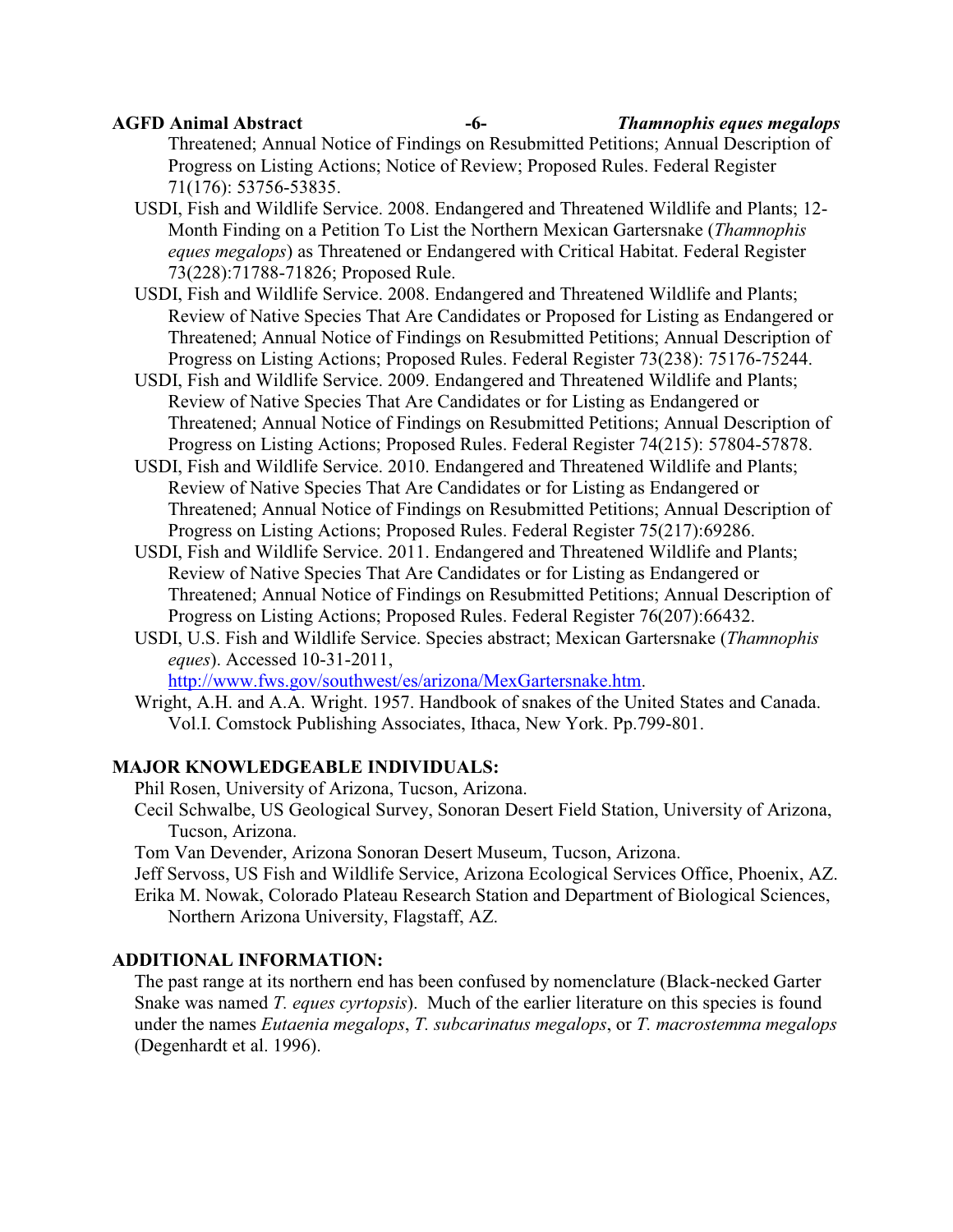**AGFD Animal Abstract -6-** *Thamnophis eques megalops*

Threatened; Annual Notice of Findings on Resubmitted Petitions; Annual Description of Progress on Listing Actions; Notice of Review; Proposed Rules. Federal Register 71(176): 53756-53835.

- USDI, Fish and Wildlife Service. 2008. Endangered and Threatened Wildlife and Plants; 12- Month Finding on a Petition To List the Northern Mexican Gartersnake (*Thamnophis eques megalops*) as Threatened or Endangered with Critical Habitat. Federal Register 73(228):71788-71826; Proposed Rule.
- USDI, Fish and Wildlife Service. 2008. Endangered and Threatened Wildlife and Plants; Review of Native Species That Are Candidates or Proposed for Listing as Endangered or Threatened; Annual Notice of Findings on Resubmitted Petitions; Annual Description of Progress on Listing Actions; Proposed Rules. Federal Register 73(238): 75176-75244.
- USDI, Fish and Wildlife Service. 2009. Endangered and Threatened Wildlife and Plants; Review of Native Species That Are Candidates or for Listing as Endangered or Threatened; Annual Notice of Findings on Resubmitted Petitions; Annual Description of Progress on Listing Actions; Proposed Rules. Federal Register 74(215): 57804-57878.
- USDI, Fish and Wildlife Service. 2010. Endangered and Threatened Wildlife and Plants; Review of Native Species That Are Candidates or for Listing as Endangered or Threatened; Annual Notice of Findings on Resubmitted Petitions; Annual Description of Progress on Listing Actions; Proposed Rules. Federal Register 75(217):69286.
- USDI, Fish and Wildlife Service. 2011. Endangered and Threatened Wildlife and Plants; Review of Native Species That Are Candidates or for Listing as Endangered or Threatened; Annual Notice of Findings on Resubmitted Petitions; Annual Description of Progress on Listing Actions; Proposed Rules. Federal Register 76(207):66432.
- USDI, U.S. Fish and Wildlife Service. Species abstract; Mexican Gartersnake (*Thamnophis eques*). Accessed 10-31-2011,

http://www.fws.gov/southwest/es/arizona/MexGartersnake.htm.

Wright, A.H. and A.A. Wright. 1957. Handbook of snakes of the United States and Canada. Vol.I. Comstock Publishing Associates, Ithaca, New York. Pp.799-801.

### **MAJOR KNOWLEDGEABLE INDIVIDUALS:**

Phil Rosen, University of Arizona, Tucson, Arizona.

Cecil Schwalbe, US Geological Survey, Sonoran Desert Field Station, University of Arizona, Tucson, Arizona.

Tom Van Devender, Arizona Sonoran Desert Museum, Tucson, Arizona.

Jeff Servoss, US Fish and Wildlife Service, Arizona Ecological Services Office, Phoenix, AZ.

Erika M. Nowak, Colorado Plateau Research Station and Department of Biological Sciences, Northern Arizona University, Flagstaff, AZ.

## **ADDITIONAL INFORMATION:**

The past range at its northern end has been confused by nomenclature (Black-necked Garter Snake was named *T. eques cyrtopsis*). Much of the earlier literature on this species is found under the names *Eutaenia megalops*, *T. subcarinatus megalops*, or *T. macrostemma megalops* (Degenhardt et al. 1996).